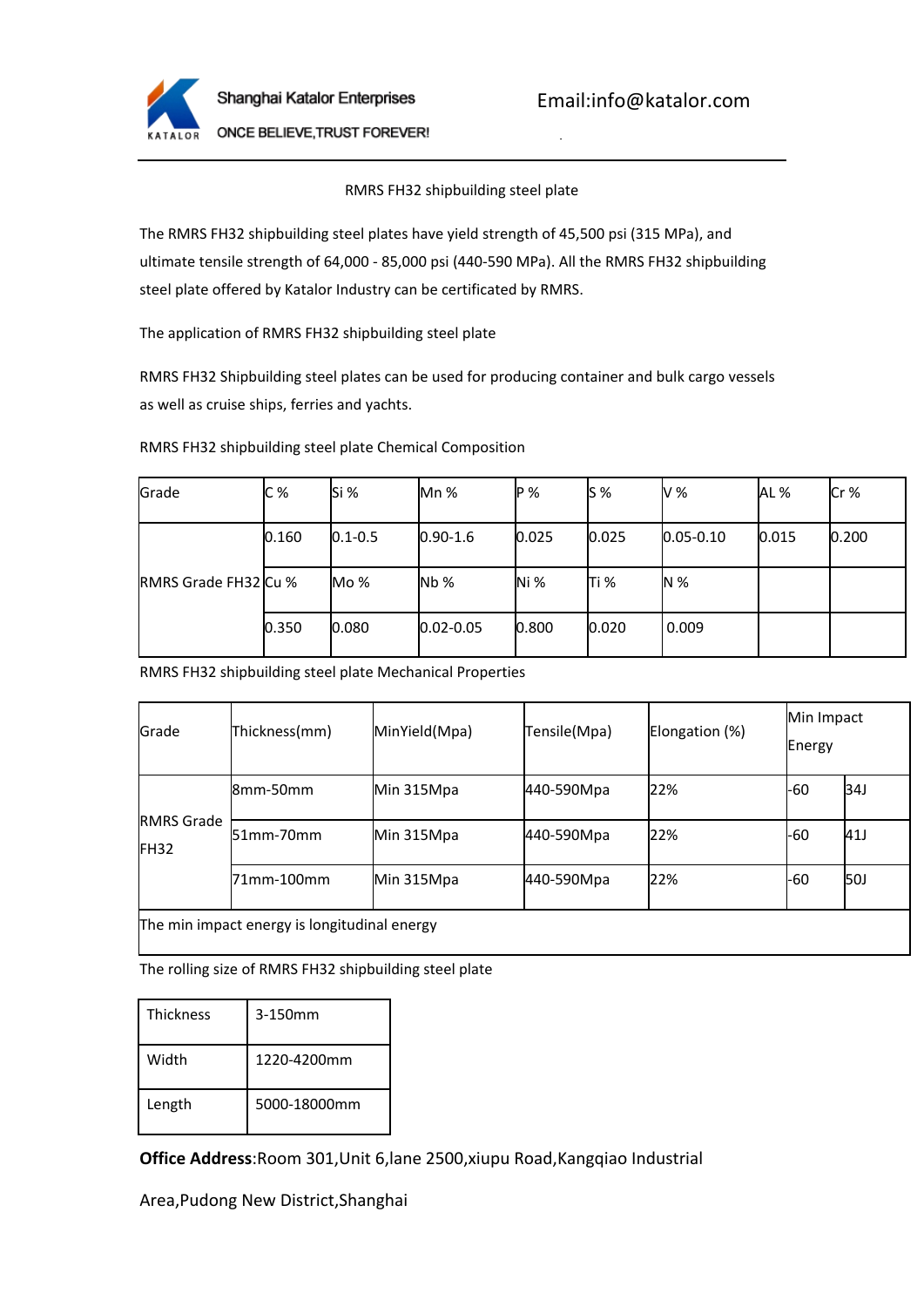

Email:info@katalor.com

Tel:0086-21-61182423

ONCE BELIEVE, TRUST FOREVER!

## RMRS FH32 shipbuilding steel plate

The RMRS FH32 shipbuilding steel plates have yield strength of 45,500 psi (315 MPa), and ultimate tensile strength of 64,000 - 85,000 psi (440-590 MPa). All the RMRS FH32 shipbuilding steel plate offered by Katalor Industry can be certificated by RMRS.

The application of RMRS FH32 shipbuilding steel plate

RMRS FH32 Shipbuilding steel plates can be used for producing container and bulk cargo vessels as well as cruise ships, ferries and yachts.

RMRS FH32 shipbuilding steel plate Chemical Composition

| Grade                       | C%    | Si %         | $Mn$ %        | IP %  | $\mathsf{IS}\mathcal{\%}$ | V %           | IAL % | Cr%   |
|-----------------------------|-------|--------------|---------------|-------|---------------------------|---------------|-------|-------|
| <b>RMRS Grade FH32 Cu %</b> | 0.160 | $10.1 - 0.5$ | $0.90 - 1.6$  | 0.025 | 0.025                     | $0.05 - 0.10$ | 0.015 | 0.200 |
|                             |       | Mo %         | Nb%           | lNi % | lTi %                     | IN $%$        |       |       |
|                             | 0.350 | 0.080        | $0.02 - 0.05$ | 0.800 | 0.020                     | 0.009         |       |       |

RMRS FH32 shipbuilding steel plate Mechanical Properties

| Grade                                  | Thickness(mm)                                | MinYield(Mpa) | Tensile (Mpa) | Elongation (%) | Min Impact<br>Energy |     |
|----------------------------------------|----------------------------------------------|---------------|---------------|----------------|----------------------|-----|
| <b>RMRS</b> Grade<br>IFH <sub>32</sub> | 8mm-50mm                                     | Min 315Mpa    | 440-590Mpa    | 22%            | -60                  | 34J |
|                                        | $151$ mm-70mm                                | Min 315Mpa    | 440-590Mpa    | 22%            | -60                  | 41J |
|                                        | l71mm-100mm                                  | Min 315Mpa    | 440-590Mpa    | 22%            | -60                  | 50J |
|                                        | The min impact energy is longitudinal energy |               |               |                |                      |     |

The rolling size of RMRS FH32 shipbuilding steel plate

| <b>Thickness</b> | 3-150mm      |  |  |
|------------------|--------------|--|--|
| Width            | 1220-4200mm  |  |  |
| Length           | 5000-18000mm |  |  |

**Office Address**:Room 301,Unit 6,lane 2500,xiupu Road,Kangqiao Industrial

Area,Pudong New District,Shanghai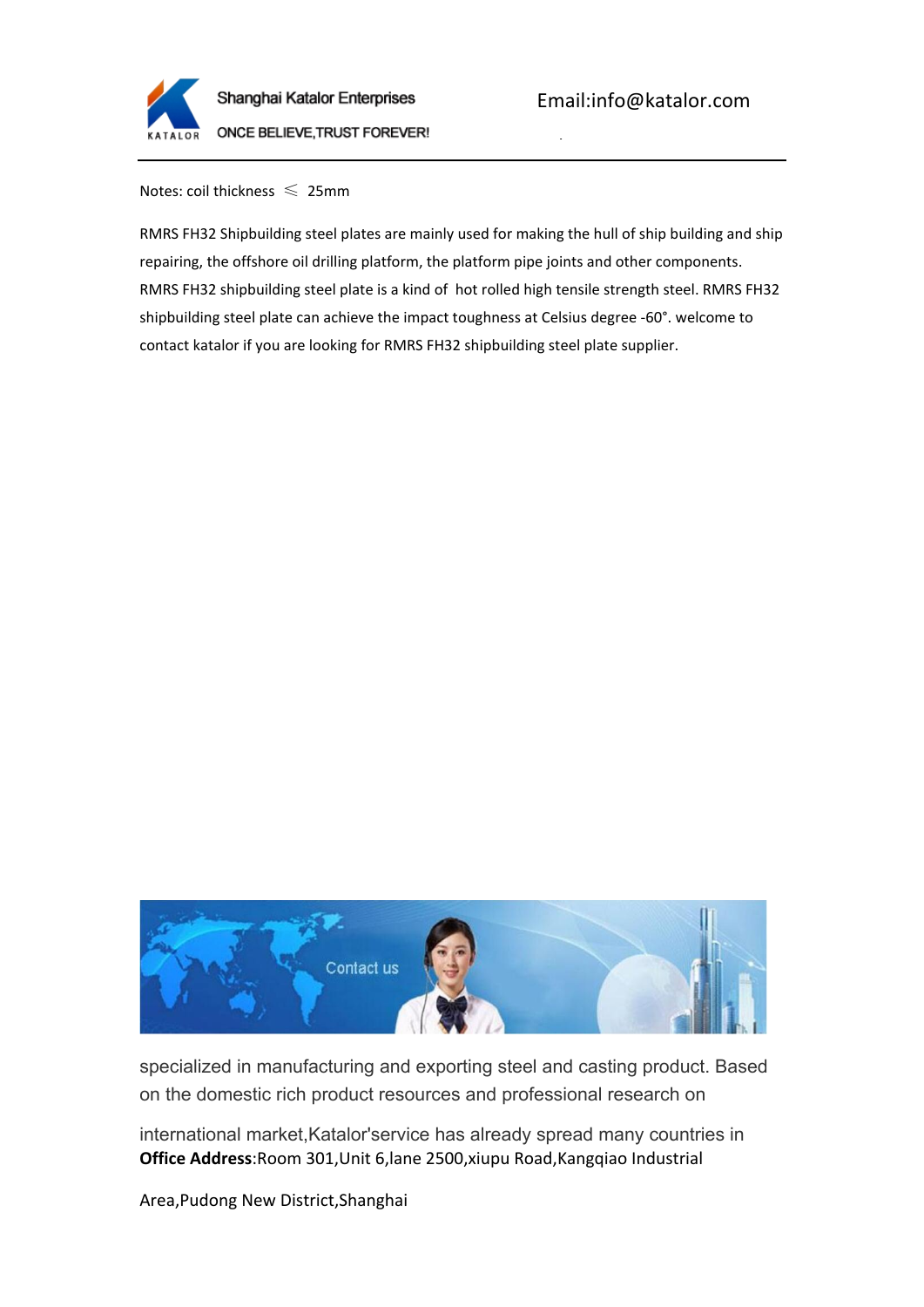

Tel:0086-21-61182423

Notes: coil thickness  $\leq 25$ mm

RMRS FH32 Shipbuilding steel plates are mainly used for making the hull of ship building and ship repairing, the offshore oil drilling platform, the platform pipe joints and other components. RMRS FH32 shipbuilding steel plate is a kind of hot rolled high tensile strength steel. RMRS FH32 shipbuilding steel plate can achieve the impact toughness at Celsius degree -60°. welcome to contact katalor if you are looking for RMRS FH32 shipbuilding steel plate supplier.



specialized in manufacturing and exporting steel and casting product. Based on the domestic rich product resources and professional research on

**Office Address**:Room 301,Unit 6,lane 2500,xiupu Road,Kangqiao Industrial international market,Katalor'service has already spread many countries in

Area,Pudong New District,Shanghai